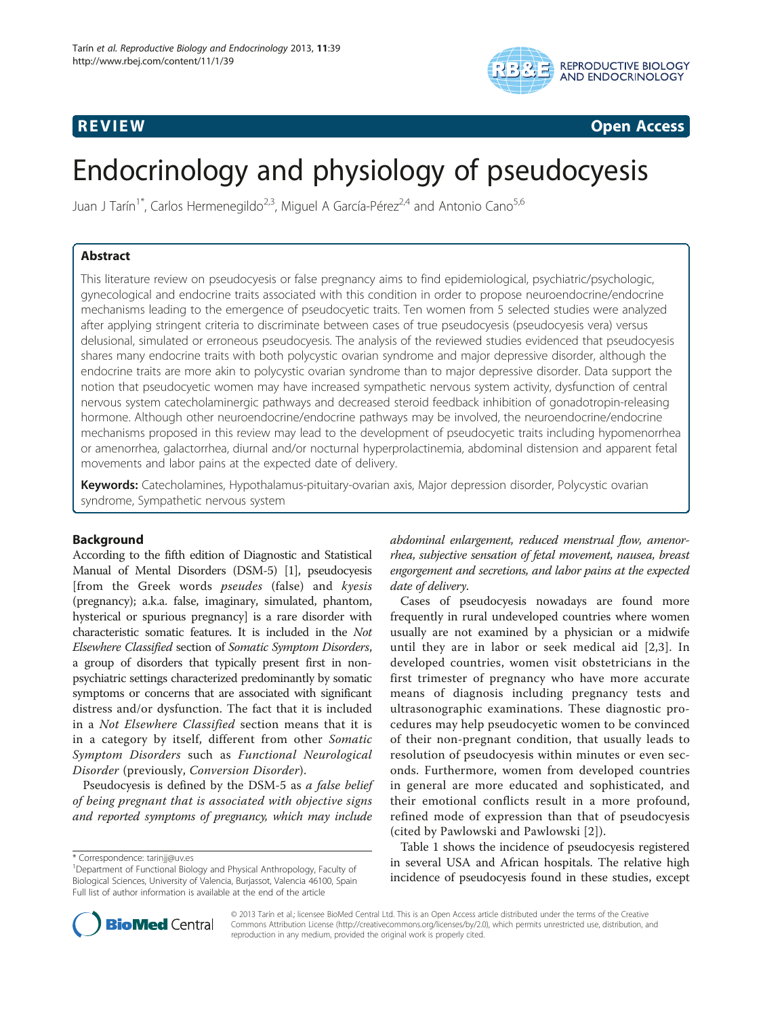

**REVIEW REVIEW CONSTRUCTER ACCESS** 

# Endocrinology and physiology of pseudocyesis

Juan J Tarín<sup>1\*</sup>, Carlos Hermenegildo<sup>2,3</sup>, Miguel A García-Pérez<sup>2,4</sup> and Antonio Cano<sup>5,6</sup>

# Abstract

This literature review on pseudocyesis or false pregnancy aims to find epidemiological, psychiatric/psychologic, gynecological and endocrine traits associated with this condition in order to propose neuroendocrine/endocrine mechanisms leading to the emergence of pseudocyetic traits. Ten women from 5 selected studies were analyzed after applying stringent criteria to discriminate between cases of true pseudocyesis (pseudocyesis vera) versus delusional, simulated or erroneous pseudocyesis. The analysis of the reviewed studies evidenced that pseudocyesis shares many endocrine traits with both polycystic ovarian syndrome and major depressive disorder, although the endocrine traits are more akin to polycystic ovarian syndrome than to major depressive disorder. Data support the notion that pseudocyetic women may have increased sympathetic nervous system activity, dysfunction of central nervous system catecholaminergic pathways and decreased steroid feedback inhibition of gonadotropin-releasing hormone. Although other neuroendocrine/endocrine pathways may be involved, the neuroendocrine/endocrine mechanisms proposed in this review may lead to the development of pseudocyetic traits including hypomenorrhea or amenorrhea, galactorrhea, diurnal and/or nocturnal hyperprolactinemia, abdominal distension and apparent fetal movements and labor pains at the expected date of delivery.

Keywords: Catecholamines, Hypothalamus-pituitary-ovarian axis, Major depression disorder, Polycystic ovarian syndrome, Sympathetic nervous system

# Background

According to the fifth edition of Diagnostic and Statistical Manual of Mental Disorders (DSM-5) [\[1\]](#page-9-0), pseudocyesis [from the Greek words pseudes (false) and kyesis (pregnancy); a.k.a. false, imaginary, simulated, phantom, hysterical or spurious pregnancy] is a rare disorder with characteristic somatic features. It is included in the Not Elsewhere Classified section of Somatic Symptom Disorders, a group of disorders that typically present first in nonpsychiatric settings characterized predominantly by somatic symptoms or concerns that are associated with significant distress and/or dysfunction. The fact that it is included in a Not Elsewhere Classified section means that it is in a category by itself, different from other Somatic Symptom Disorders such as Functional Neurological Disorder (previously, Conversion Disorder).

Pseudocyesis is defined by the DSM-5 as a false belief of being pregnant that is associated with objective signs and reported symptoms of pregnancy, which may include

abdominal enlargement, reduced menstrual flow, amenorrhea, subjective sensation of fetal movement, nausea, breast engorgement and secretions, and labor pains at the expected date of delivery.

Cases of pseudocyesis nowadays are found more frequently in rural undeveloped countries where women usually are not examined by a physician or a midwife until they are in labor or seek medical aid [[2,3](#page-9-0)]. In developed countries, women visit obstetricians in the first trimester of pregnancy who have more accurate means of diagnosis including pregnancy tests and ultrasonographic examinations. These diagnostic procedures may help pseudocyetic women to be convinced of their non-pregnant condition, that usually leads to resolution of pseudocyesis within minutes or even seconds. Furthermore, women from developed countries in general are more educated and sophisticated, and their emotional conflicts result in a more profound, refined mode of expression than that of pseudocyesis (cited by Pawlowski and Pawlowski [[2](#page-9-0)]).

Table [1](#page-1-0) shows the incidence of pseudocyesis registered in several USA and African hospitals. The relative high incidence of pseudocyesis found in these studies, except



© 2013 Tarín et al.; licensee BioMed Central Ltd. This is an Open Access article distributed under the terms of the Creative Commons Attribution License [\(http://creativecommons.org/licenses/by/2.0\)](http://creativecommons.org/licenses/by/2.0), which permits unrestricted use, distribution, and reproduction in any medium, provided the original work is properly cited.

<sup>\*</sup> Correspondence: [tarinjj@uv.es](mailto:tarinjj@uv.es) <sup>1</sup>

<sup>&</sup>lt;sup>1</sup>Department of Functional Biology and Physical Anthropology, Faculty of Biological Sciences, University of Valencia, Burjassot, Valencia 46100, Spain Full list of author information is available at the end of the article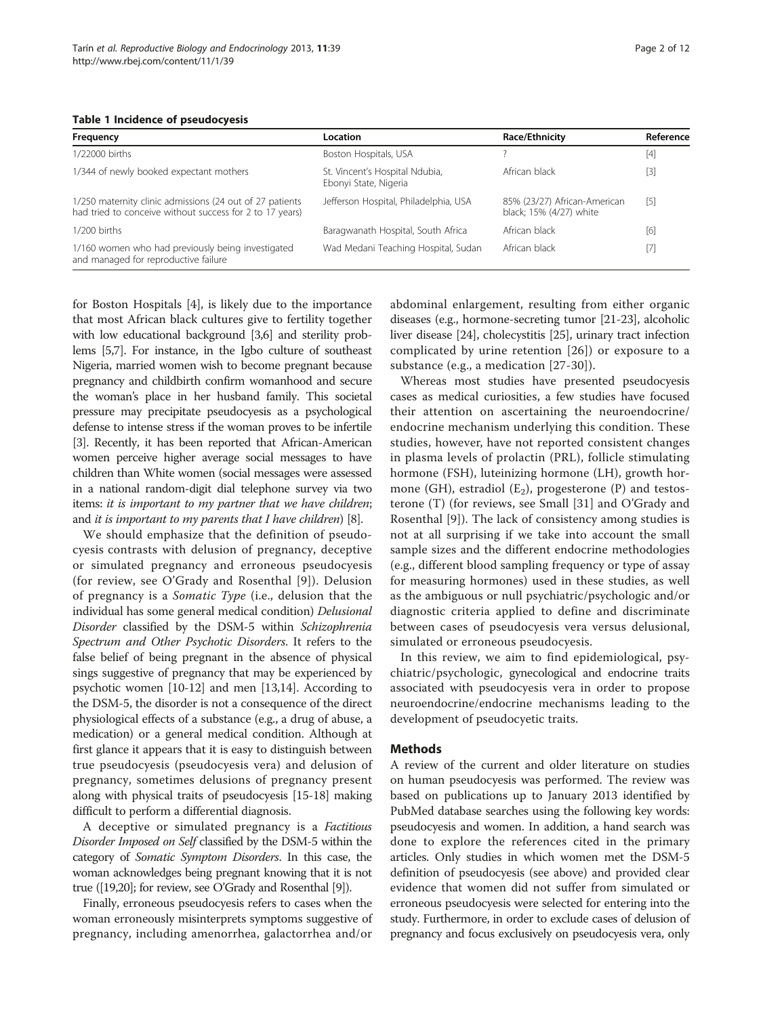<span id="page-1-0"></span>

|  |  |  |  | Table 1 Incidence of pseudocyesis |
|--|--|--|--|-----------------------------------|
|--|--|--|--|-----------------------------------|

| Frequency                                                                                                            | Location                                                | Race/Ethnicity                                          | Reference |
|----------------------------------------------------------------------------------------------------------------------|---------------------------------------------------------|---------------------------------------------------------|-----------|
| 1/22000 births                                                                                                       | Boston Hospitals, USA                                   |                                                         | [4]       |
| 1/344 of newly booked expectant mothers                                                                              | St. Vincent's Hospital Ndubia,<br>Ebonyi State, Nigeria | African black                                           | $[3]$     |
| 1/250 maternity clinic admissions (24 out of 27 patients<br>had tried to conceive without success for 2 to 17 years) | Jefferson Hospital, Philadelphia, USA                   | 85% (23/27) African-American<br>black; 15% (4/27) white | $[5]$     |
| $1/200$ births                                                                                                       | Baragwanath Hospital, South Africa                      | African black                                           | [6]       |
| 1/160 women who had previously being investigated<br>and managed for reproductive failure                            | Wad Medani Teaching Hospital, Sudan                     | African black                                           | [7]       |

for Boston Hospitals [[4\]](#page-9-0), is likely due to the importance that most African black cultures give to fertility together with low educational background [[3,6](#page-9-0)] and sterility problems [\[5,7\]](#page-9-0). For instance, in the Igbo culture of southeast Nigeria, married women wish to become pregnant because pregnancy and childbirth confirm womanhood and secure the woman's place in her husband family. This societal pressure may precipitate pseudocyesis as a psychological defense to intense stress if the woman proves to be infertile [[3](#page-9-0)]. Recently, it has been reported that African-American women perceive higher average social messages to have children than White women (social messages were assessed in a national random-digit dial telephone survey via two items: it is important to my partner that we have children; and it is important to my parents that I have children) [\[8\]](#page-9-0).

We should emphasize that the definition of pseudocyesis contrasts with delusion of pregnancy, deceptive or simulated pregnancy and erroneous pseudocyesis (for review, see O'Grady and Rosenthal [[9](#page-9-0)]). Delusion of pregnancy is a Somatic Type (i.e., delusion that the individual has some general medical condition) Delusional Disorder classified by the DSM-5 within Schizophrenia Spectrum and Other Psychotic Disorders. It refers to the false belief of being pregnant in the absence of physical sings suggestive of pregnancy that may be experienced by psychotic women [\[10-12](#page-9-0)] and men [[13,14](#page-9-0)]. According to the DSM-5, the disorder is not a consequence of the direct physiological effects of a substance (e.g., a drug of abuse, a medication) or a general medical condition. Although at first glance it appears that it is easy to distinguish between true pseudocyesis (pseudocyesis vera) and delusion of pregnancy, sometimes delusions of pregnancy present along with physical traits of pseudocyesis [\[15](#page-9-0)-[18](#page-9-0)] making difficult to perform a differential diagnosis.

A deceptive or simulated pregnancy is a Factitious Disorder Imposed on Self classified by the DSM-5 within the category of Somatic Symptom Disorders. In this case, the woman acknowledges being pregnant knowing that it is not true ([[19,20](#page-9-0)]; for review, see O'Grady and Rosenthal [\[9\]](#page-9-0)).

Finally, erroneous pseudocyesis refers to cases when the woman erroneously misinterprets symptoms suggestive of pregnancy, including amenorrhea, galactorrhea and/or

abdominal enlargement, resulting from either organic diseases (e.g., hormone-secreting tumor [[21](#page-9-0)-[23](#page-9-0)], alcoholic liver disease [\[24\]](#page-9-0), cholecystitis [\[25\]](#page-9-0), urinary tract infection complicated by urine retention [[26](#page-9-0)]) or exposure to a substance (e.g., a medication [[27](#page-9-0)-[30](#page-9-0)]).

Whereas most studies have presented pseudocyesis cases as medical curiosities, a few studies have focused their attention on ascertaining the neuroendocrine/ endocrine mechanism underlying this condition. These studies, however, have not reported consistent changes in plasma levels of prolactin (PRL), follicle stimulating hormone (FSH), luteinizing hormone (LH), growth hormone (GH), estradiol  $(E_2)$ , progesterone (P) and testosterone (T) (for reviews, see Small [[31\]](#page-9-0) and O'Grady and Rosenthal [[9\]](#page-9-0)). The lack of consistency among studies is not at all surprising if we take into account the small sample sizes and the different endocrine methodologies (e.g., different blood sampling frequency or type of assay for measuring hormones) used in these studies, as well as the ambiguous or null psychiatric/psychologic and/or diagnostic criteria applied to define and discriminate between cases of pseudocyesis vera versus delusional, simulated or erroneous pseudocyesis.

In this review, we aim to find epidemiological, psychiatric/psychologic, gynecological and endocrine traits associated with pseudocyesis vera in order to propose neuroendocrine/endocrine mechanisms leading to the development of pseudocyetic traits.

### Methods

A review of the current and older literature on studies on human pseudocyesis was performed. The review was based on publications up to January 2013 identified by PubMed database searches using the following key words: pseudocyesis and women. In addition, a hand search was done to explore the references cited in the primary articles. Only studies in which women met the DSM-5 definition of pseudocyesis (see above) and provided clear evidence that women did not suffer from simulated or erroneous pseudocyesis were selected for entering into the study. Furthermore, in order to exclude cases of delusion of pregnancy and focus exclusively on pseudocyesis vera, only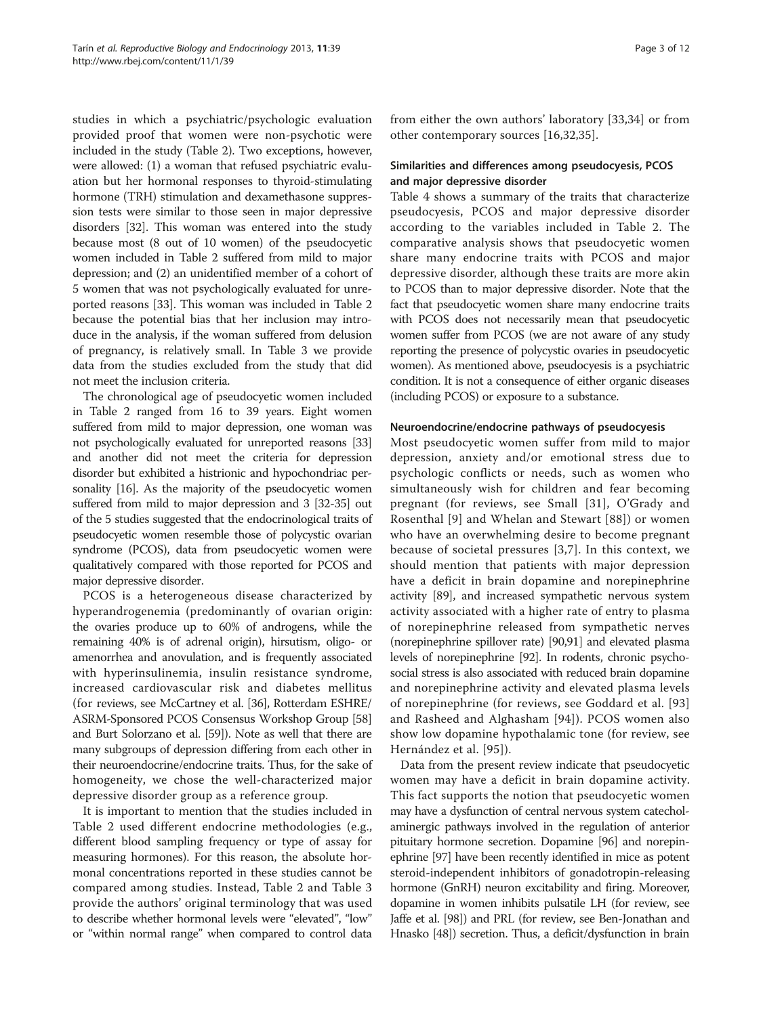studies in which a psychiatric/psychologic evaluation provided proof that women were non-psychotic were included in the study (Table [2](#page-3-0)). Two exceptions, however, were allowed: (1) a woman that refused psychiatric evaluation but her hormonal responses to thyroid-stimulating hormone (TRH) stimulation and dexamethasone suppression tests were similar to those seen in major depressive disorders [\[32\]](#page-9-0). This woman was entered into the study because most (8 out of 10 women) of the pseudocyetic women included in Table [2](#page-3-0) suffered from mild to major depression; and (2) an unidentified member of a cohort of 5 women that was not psychologically evaluated for unreported reasons [[33](#page-9-0)]. This woman was included in Table [2](#page-3-0) because the potential bias that her inclusion may introduce in the analysis, if the woman suffered from delusion of pregnancy, is relatively small. In Table [3](#page-5-0) we provide data from the studies excluded from the study that did not meet the inclusion criteria.

The chronological age of pseudocyetic women included in Table [2](#page-3-0) ranged from 16 to 39 years. Eight women suffered from mild to major depression, one woman was not psychologically evaluated for unreported reasons [\[33](#page-9-0)] and another did not meet the criteria for depression disorder but exhibited a histrionic and hypochondriac personality [[16](#page-9-0)]. As the majority of the pseudocyetic women suffered from mild to major depression and 3 [\[32-35\]](#page-9-0) out of the 5 studies suggested that the endocrinological traits of pseudocyetic women resemble those of polycystic ovarian syndrome (PCOS), data from pseudocyetic women were qualitatively compared with those reported for PCOS and major depressive disorder.

PCOS is a heterogeneous disease characterized by hyperandrogenemia (predominantly of ovarian origin: the ovaries produce up to 60% of androgens, while the remaining 40% is of adrenal origin), hirsutism, oligo- or amenorrhea and anovulation, and is frequently associated with hyperinsulinemia, insulin resistance syndrome, increased cardiovascular risk and diabetes mellitus (for reviews, see McCartney et al. [\[36\]](#page-9-0), Rotterdam ESHRE/ ASRM-Sponsored PCOS Consensus Workshop Group [\[58](#page-10-0)] and Burt Solorzano et al. [[59](#page-10-0)]). Note as well that there are many subgroups of depression differing from each other in their neuroendocrine/endocrine traits. Thus, for the sake of homogeneity, we chose the well-characterized major depressive disorder group as a reference group.

It is important to mention that the studies included in Table [2](#page-3-0) used different endocrine methodologies (e.g., different blood sampling frequency or type of assay for measuring hormones). For this reason, the absolute hormonal concentrations reported in these studies cannot be compared among studies. Instead, Table [2](#page-3-0) and Table [3](#page-5-0) provide the authors' original terminology that was used to describe whether hormonal levels were "elevated", "low" or "within normal range" when compared to control data from either the own authors' laboratory [[33,34](#page-9-0)] or from other contemporary sources [\[16](#page-9-0),[32,35\]](#page-9-0).

# Similarities and differences among pseudocyesis, PCOS and major depressive disorder

Table [4](#page-7-0) shows a summary of the traits that characterize pseudocyesis, PCOS and major depressive disorder according to the variables included in Table [2.](#page-3-0) The comparative analysis shows that pseudocyetic women share many endocrine traits with PCOS and major depressive disorder, although these traits are more akin to PCOS than to major depressive disorder. Note that the fact that pseudocyetic women share many endocrine traits with PCOS does not necessarily mean that pseudocyetic women suffer from PCOS (we are not aware of any study reporting the presence of polycystic ovaries in pseudocyetic women). As mentioned above, pseudocyesis is a psychiatric condition. It is not a consequence of either organic diseases (including PCOS) or exposure to a substance.

# Neuroendocrine/endocrine pathways of pseudocyesis

Most pseudocyetic women suffer from mild to major depression, anxiety and/or emotional stress due to psychologic conflicts or needs, such as women who simultaneously wish for children and fear becoming pregnant (for reviews, see Small [\[31](#page-9-0)], O'Grady and Rosenthal [[9\]](#page-9-0) and Whelan and Stewart [[88](#page-10-0)]) or women who have an overwhelming desire to become pregnant because of societal pressures [[3,7](#page-9-0)]. In this context, we should mention that patients with major depression have a deficit in brain dopamine and norepinephrine activity [[89\]](#page-10-0), and increased sympathetic nervous system activity associated with a higher rate of entry to plasma of norepinephrine released from sympathetic nerves (norepinephrine spillover rate) [\[90,](#page-10-0)[91](#page-11-0)] and elevated plasma levels of norepinephrine [\[92\]](#page-11-0). In rodents, chronic psychosocial stress is also associated with reduced brain dopamine and norepinephrine activity and elevated plasma levels of norepinephrine (for reviews, see Goddard et al. [\[93](#page-11-0)] and Rasheed and Alghasham [[94\]](#page-11-0)). PCOS women also show low dopamine hypothalamic tone (for review, see Hernández et al. [[95](#page-11-0)]).

Data from the present review indicate that pseudocyetic women may have a deficit in brain dopamine activity. This fact supports the notion that pseudocyetic women may have a dysfunction of central nervous system catecholaminergic pathways involved in the regulation of anterior pituitary hormone secretion. Dopamine [\[96](#page-11-0)] and norepinephrine [\[97\]](#page-11-0) have been recently identified in mice as potent steroid-independent inhibitors of gonadotropin-releasing hormone (GnRH) neuron excitability and firing. Moreover, dopamine in women inhibits pulsatile LH (for review, see Jaffe et al. [\[98\]](#page-11-0)) and PRL (for review, see Ben-Jonathan and Hnasko [\[48](#page-10-0)]) secretion. Thus, a deficit/dysfunction in brain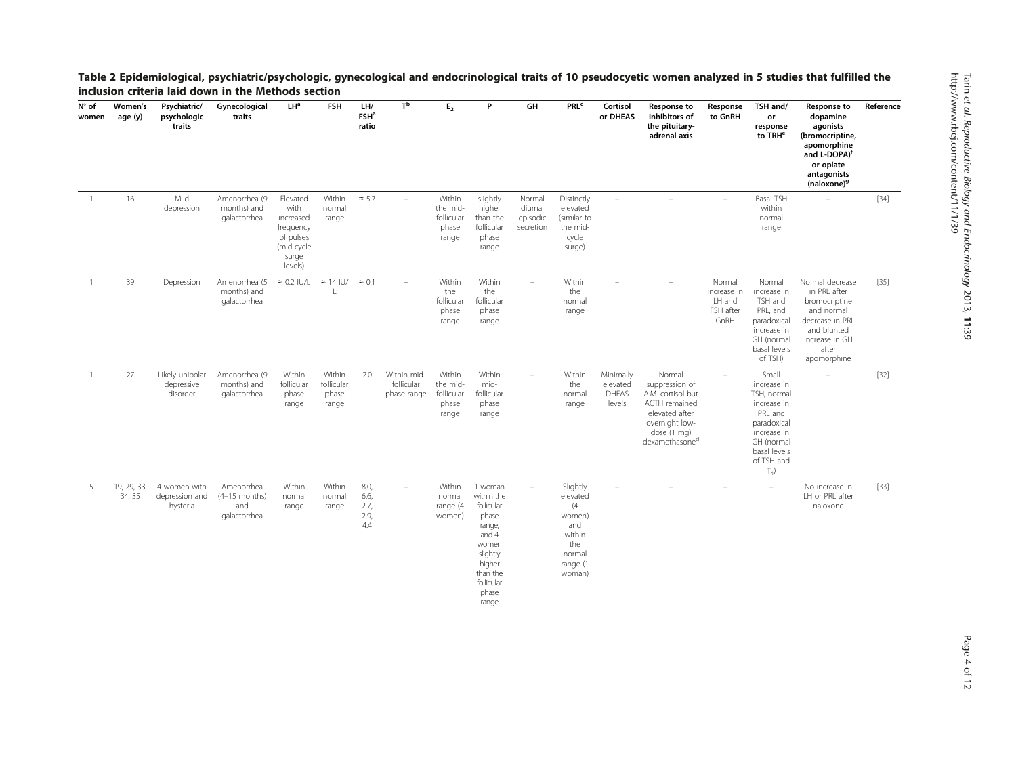| N° of<br>women | Women's<br>age (y)    | Psychiatric/<br>psychologic<br>traits      | Gynecological<br>traits                              | LH <sup>a</sup>                                                                           | <b>FSH</b>                             | LH/<br><b>FSH<sup>a</sup></b><br>ratio | T <sup>b</sup>                           | E <sub>2</sub>                                     | P                                                                                                                                          | GH                                         | <b>PRL</b> <sup>c</sup>                                                                       | Cortisol<br>or DHEAS                            | <b>Response to</b><br>inhibitors of<br>the pituitary-<br>adrenal axis                                                               | Response<br>to GnRH                                  | TSH and/<br>or<br>response<br>to TRH <sup>e</sup>                                                                                                | <b>Response to</b><br>dopamine<br>agonists<br>(bromocriptine,<br>apomorphine<br>and L-DOPA) <sup>f</sup><br>or opiate<br>antagonists<br>(naloxone) <sup>g</sup> | Reference |
|----------------|-----------------------|--------------------------------------------|------------------------------------------------------|-------------------------------------------------------------------------------------------|----------------------------------------|----------------------------------------|------------------------------------------|----------------------------------------------------|--------------------------------------------------------------------------------------------------------------------------------------------|--------------------------------------------|-----------------------------------------------------------------------------------------------|-------------------------------------------------|-------------------------------------------------------------------------------------------------------------------------------------|------------------------------------------------------|--------------------------------------------------------------------------------------------------------------------------------------------------|-----------------------------------------------------------------------------------------------------------------------------------------------------------------|-----------|
| $\overline{1}$ | 16                    | Mild<br>depression                         | Amenorrhea (9<br>months) and<br>galactorrhea         | Elevated<br>with<br>increased<br>frequency<br>of pulses<br>(mid-cycle<br>surge<br>levels) | Within<br>normal<br>range              | $\approx$ 5.7                          | $\equiv$                                 | Within<br>the mid-<br>follicular<br>phase<br>range | slightly<br>higher<br>than the<br>follicular<br>phase<br>range                                                                             | Normal<br>diurnal<br>episodic<br>secretion | Distinctly<br>elevated<br>(similar to<br>the mid-<br>cycle<br>surge)                          | $\sim$                                          | $\sim$                                                                                                                              | L.                                                   | <b>Basal TSH</b><br>within<br>normal<br>range                                                                                                    | $\equiv$                                                                                                                                                        | $[34]$    |
|                | 39                    | Depression                                 | Amenorrhea (5<br>months) and<br>galactorrhea         | $\approx 0.2$ IU/L                                                                        | $\approx$ 14 IU/                       | $\approx 0.1$                          | $\sim$                                   | Within<br>the<br>follicular<br>phase<br>range      | Within<br>the<br>follicular<br>phase<br>range                                                                                              |                                            | Within<br>the<br>normal<br>range                                                              |                                                 |                                                                                                                                     | Normal<br>increase in<br>LH and<br>FSH after<br>GnRH | Normal<br>increase in<br>TSH and<br>PRL, and<br>paradoxical<br>increase in<br>GH (normal<br>basal levels<br>of TSH)                              | Normal decrease<br>in PRL after<br>bromocriptine<br>and normal<br>decrease in PRL<br>and blunted<br>increase in GH<br>after<br>apomorphine                      | $[35]$    |
| -1             | 27                    | Likely unipolar<br>depressive<br>disorder  | Amenorrhea (9<br>months) and<br>galactorrhea         | Within<br>follicular<br>phase<br>range                                                    | Within<br>follicular<br>phase<br>range | 2.0                                    | Within mid-<br>follicular<br>phase range | Within<br>the mid-<br>follicular<br>phase<br>range | Within<br>mid-<br>follicular<br>phase<br>range                                                                                             |                                            | Within<br>the<br>normal<br>range                                                              | Minimally<br>elevated<br><b>DHEAS</b><br>levels | Normal<br>suppression of<br>A.M. cortisol but<br>ACTH remained<br>elevated after<br>overnight low-<br>dose (1 mg)<br>dexamethasoned |                                                      | Small<br>increase in<br>TSH, normal<br>increase in<br>PRL and<br>paradoxical<br>increase in<br>GH (normal<br>basal levels<br>of TSH and<br>$T_4$ | $\equiv$                                                                                                                                                        | $[32]$    |
| 5              | 19, 29, 33,<br>34, 35 | 4 women with<br>depression and<br>hysteria | Amenorrhea<br>$(4-15$ months)<br>and<br>galactorrhea | Within<br>normal<br>range                                                                 | Within<br>normal<br>range              | 8.0,<br>6.6,<br>2.7,<br>2.9,<br>4.4    | $\sim$                                   | Within<br>normal<br>range (4<br>women)             | 1 woman<br>within the<br>follicular<br>phase<br>range,<br>and 4<br>women<br>slightly<br>higher<br>than the<br>follicular<br>phase<br>range |                                            | Slightly<br>elevated<br>(4)<br>women)<br>and<br>within<br>the<br>normal<br>range (1<br>woman) |                                                 |                                                                                                                                     |                                                      | ÷,                                                                                                                                               | No increase in<br>LH or PRL after<br>naloxone                                                                                                                   | $[33]$    |

# <span id="page-3-0"></span>Table 2 Epidemiological, psychiatric/psychologic, gynecological and endocrinological traits of 10 pseudocyetic women analyzed in 5 studies that fulfilled the inclusion criteria laid down in the Methods section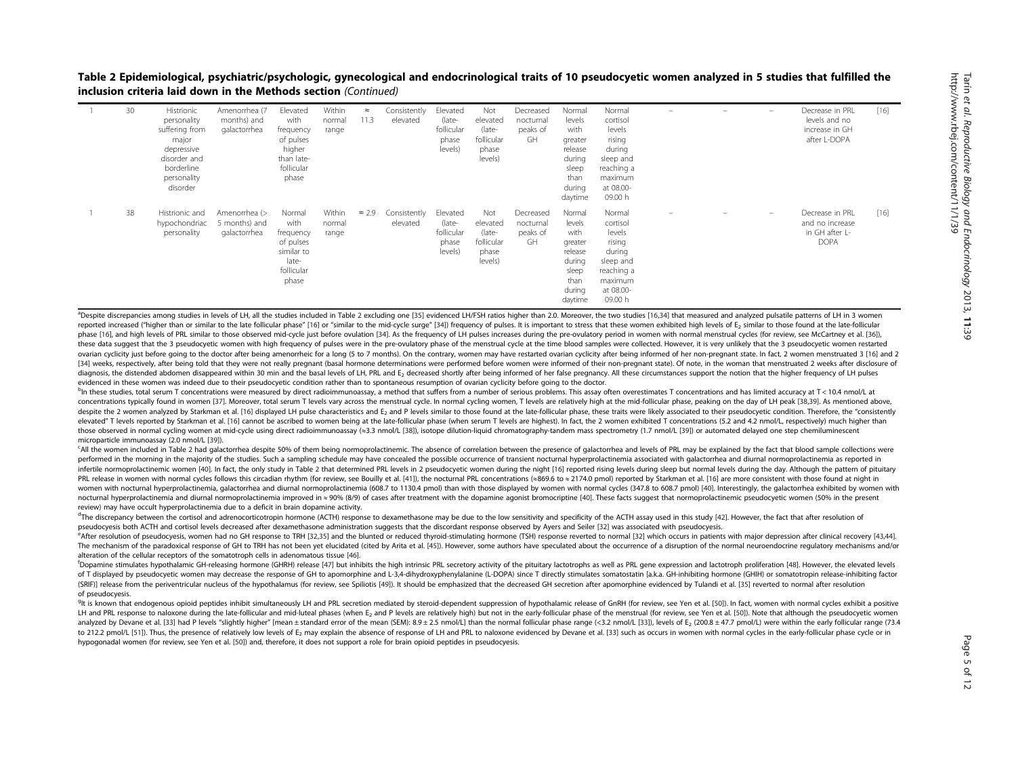### Table 2 Epidemiological, psychiatric/psychologic, gynecological and endocrinological traits of 10 pseudocyetic women analyzed in 5 studies that fulfilled the inclusion criteria laid down in the Methods section (Continued)

| 30 | Histrionic<br>personality<br>suffering from<br>major<br>depressive<br>disorder and<br>borderline<br>personality<br>disorder | Amenorrhea (7<br>months) and<br>galactorrhea   | Elevated<br>with<br>frequency<br>of pulses<br>higher<br>than late-<br>follicular<br>phase | Within<br>normal<br>range | $\approx$<br>11.3 | Consistently<br>elevated | Elevated<br>(late-<br>follicular<br>phase<br>levels) | Not<br>elevated<br>(late-<br>follicular<br>phase<br>levels) | Decreased<br>nocturnal<br>peaks of<br>GH | Normal<br>levels<br>with<br>greater<br>release<br>during<br>sleep<br>than<br>during<br>daytime | Normal<br>cortisol<br>levels<br>rising<br>during<br>sleep and<br>reaching a<br>maximum<br>at 08.00-<br>09.00 h | $\overline{\phantom{a}}$<br>$\overline{\phantom{a}}$ | Decrease in PRL<br>levels and no<br>increase in GH<br>after L-DOPA  | $[16]$ |
|----|-----------------------------------------------------------------------------------------------------------------------------|------------------------------------------------|-------------------------------------------------------------------------------------------|---------------------------|-------------------|--------------------------|------------------------------------------------------|-------------------------------------------------------------|------------------------------------------|------------------------------------------------------------------------------------------------|----------------------------------------------------------------------------------------------------------------|------------------------------------------------------|---------------------------------------------------------------------|--------|
| 38 | Histrionic and<br>hypochondriac<br>personality                                                                              | Amenorrhea (><br>5 months) and<br>galactorrhea | Normal<br>with<br>frequency<br>of pulses<br>similar to<br>late-<br>follicular<br>phase    | Within<br>normal<br>range | $\approx$ 2.9     | Consistently<br>elevated | Elevated<br>(late-<br>follicular<br>phase<br>levels) | Not<br>elevated<br>(late-<br>follicular<br>phase<br>levels) | Decreased<br>nocturnal<br>peaks of<br>GH | Normal<br>levels<br>with<br>greater<br>release<br>during<br>sleep<br>than<br>during<br>daytime | Normal<br>cortisol<br>levels<br>rising<br>during<br>sleep and<br>reaching a<br>maximum<br>at 08.00-<br>09.00 h | $\overline{\phantom{a}}$<br>$\overline{\phantom{0}}$ | Decrease in PRL<br>and no increase<br>in GH after L-<br><b>DOPA</b> | $[16]$ |

Pospite discrepancies among studies in levels of LH, all the studies included in Table [2](#page-3-0) excluding one [[35\]](#page-9-0) evidenced LH/FSH ratios higher than 2.0. Moreover, the two studies [[16,34](#page-9-0)] that measured and analyzed pulsatile pa reported increased ("higher than or similar to the late follicular phase" [[16\]](#page-9-0) or "similar to the mid-cycle surge" [[34](#page-9-0)]) frequency of pulses. It is important to stress that these women exhibited high levels of E- similar t phase [\[16](#page-9-0)], and high levels of PRL similar to those observed mid-cycle just before ovulation [[34\]](#page-9-0). As the frequency of LH pulses increases during the pre-ovulatory period in women with normal menstrual cycles (for review, these data suggest that the 3 pseudocyetic women with high frequency of pulses were in the pre-ovulatory phase of the menstrual cycle at the time blood samples were collected. However, it is very unlikely that the 3 pseudo ovarian cyclicity just before going to the doctor after being amenorrheic for a long (5 to 7 months). On the contrary women may have restarted ovarian cyclicity after being informed of her non-pregnant state. In fact 2 wom [[34\]](#page-9-0) weeks, respectively, after being told that they were not really pregnant (basal hormone determinations were performed before women were informed of their non-pregnant state). Of note, in the woman that menstruated 2 w diagnosis, the distended abdomen disappeared within 30 min and the basal levels of LH. PRL and E<sub>2</sub> decreased shortly after being informed of her false pregnancy. All these circumstances support the notion that the higher evidenced in these women was indeed due to their pseudocyetic condition rather than to spontaneous resumption of ovarian cyclicity before going to the doctor.

b In these studies, total serum T concentrations were measured by direct radioimmunoassay, a method that suffers from a number of serious problems. This assay often overestimates T concentrations and has limited accuracy a concentrations typically found in women [[37](#page-9-0)]. Moreover, total serum T levels vary across the menstrual cycle, In normal cycling women. T levels are relatively high at the mid-follicular phase, peaking on the day of LH peak despite the 2 women analyzed by Starkman et al. [[16\]](#page-9-0) displayed LH pulse characteristics and E<sub>2</sub> and P levels similar to those found at the late-follicular phase, these traits were likely associated to their pseudocyctic c elevated" I levels reported by Starkman et al. [\[16\]](#page-9-0) cannot be ascribed to women being at the late-follicular phase (when serum I levels are bighest) In fact, the 2 women exhibited I concentrations (5.2 and 4.2 nmol/l, resp those observed in normal cycling women at mid-cycle using direct radioimmunoassay (≈3.3 nmol/L [\[38](#page-9-0)]), isotope dilution-liquid chromatography-tandem mass spectrometry (1.7 nmol/L [\[39\]](#page-9-0)) or automated delayed one step chemilum

microparticle immunoassay (2.0 nmol/L [[39\]](#page-9-0)).<br><sup>c</sup>All the women included in Table [2](#page-3-0) had galactorrhea despite 50% of them being normoprolactinemic. The absence of correlation between the presence of galactorrhea and levels of performed in the morning in the majority of the studies. Such a sampling schedule may have concealed the possible occurrence of transient nocturnal hyperprolactinemia associated with galactorrhea and diurnal normoprolactin infertile normoprolactinemic women [[40\]](#page-9-0). In fact, the only study in Table [2](#page-3-0) that determined PRL levels in 2 pseudocyetic women during the night [\[16](#page-9-0)] reported rising levels during sleep but normal levels during the day. Alt PRL release in women with normal cycles follows this circadian rhythm (for review, see Bouilly et al. [\[41\]](#page-9-0)), the nocturnal PRL concentrations (≈869.6 to ≈ 2174.0 pmol) reported by Starkman et al. [[16\]](#page-9-0) are more consistent women with nocturnal hyperprolactinemia, galactorrhea and diurnal normoprolactinemia (608.7 to 1130.4 pmol) than with those displayed by women with normal cycles (347.8 to 608.7 pmol) [[40\]](#page-9-0). Interestingly, the galactorrhea nocturnal hyperprolactinemia and diurnal normoprolactinemia improved in  $\approx$  90% (8/9) of cases after treatment with the dopamine agonist bromocriptine [[40\]](#page-9-0). These facts suggest that normoprolactinemic pseudocyetic women ( review) may have occult hyperprolactinemia due to a deficit in brain dopamine activity.

<sup>d</sup>The discrepancy between the cortisol and adrenocorticotropin hormone (ACTH) response to dexamethasone may be due to the low sensitivity and specificity of the ACTH assay used in this study [\[42](#page-9-0)]. However, the fact that a

pseudocyesis both ACTH and cortisol levels decreased after dexamethasone administration suggests that the discordant response observed by Ayers and Seiler [\[32](#page-9-0)] was associated with pseudocyesis.<br><sup>e</sup>After resolution of pseud The mechanism of the paradoxical response of GH to TRH has not been yet elucidated (cited by Arita et al. [\[45](#page-9-0)]). However, some authors have speculated about the occurrence of a disruption of the normal neuroendocrine regul

alteration of the cellular receptors of the somatotroph cells in adenomatous tissue [[46\]](#page-10-0).<br><sup>f</sup>Dopamine stimulates hypothalamic GH-releasing hormone (GHRH) release [\[47](#page-10-0)] but inhibits the high intrinsic PRL secretory activity of T displayed by pseudocyetic women may decrease the response of GH to apomorphine and L-3,4-dihydroxyphenylalanine (L-DOPA) since T directly stimulates somatostatin [a.k.a. GH-inhibiting hormone (GHIH) or somatotropin re (SRIF)] release from the periventricular nucleus of the hypothalamus (for review, see Spiliotis [[49\]](#page-10-0)), It should be emphasized that the decreased GH secretion after apomorphine evidenced by Tulandi et al. [\[35\]](#page-9-0) reverted to of pseudocyesis.

<sup>9</sup>It is known that endogenous opioid peptides inhibit simultaneously LH and PRL secretion mediated by steroid-dependent suppression of hypothalamic release of GnRH (for review, see Yen et al. [\[50](#page-10-0)]). In fact, women with no LH and PRL response to naloxone during the late-follicular and mid-luteal phases (when E<sub>2</sub> and P levels are relatively high) but not in the early-follicular phase of the menstrual (for review, see Yen et al. [[50](#page-10-0)]). Note t analyzed by Devane et al. [\[33](#page-9-0)] had P levels "slightly higher" [mean ± standard error of the mean (SEM): 8.9 ± 2.5 nmol/L] than the normal follicular phase range (<3.2 nmol/L [33]). levels of E<sub>2</sub> (200.8 ± 47.7 pmol/L) were to 212.2 pmol/L [\[51\]](#page-10-0)). Thus, the presence of relatively low levels of E<sub>2</sub> may explain the absence of response of LH and PRL to naloxone evidenced by Devane et al. [\[33\]](#page-9-0) such as occurs in women with normal cycles in the ear hypogonadal women (for review, see Yen et al. [[50\]](#page-10-0)) and, therefore, it does not support a role for brain opioid peptides in pseudocyesis.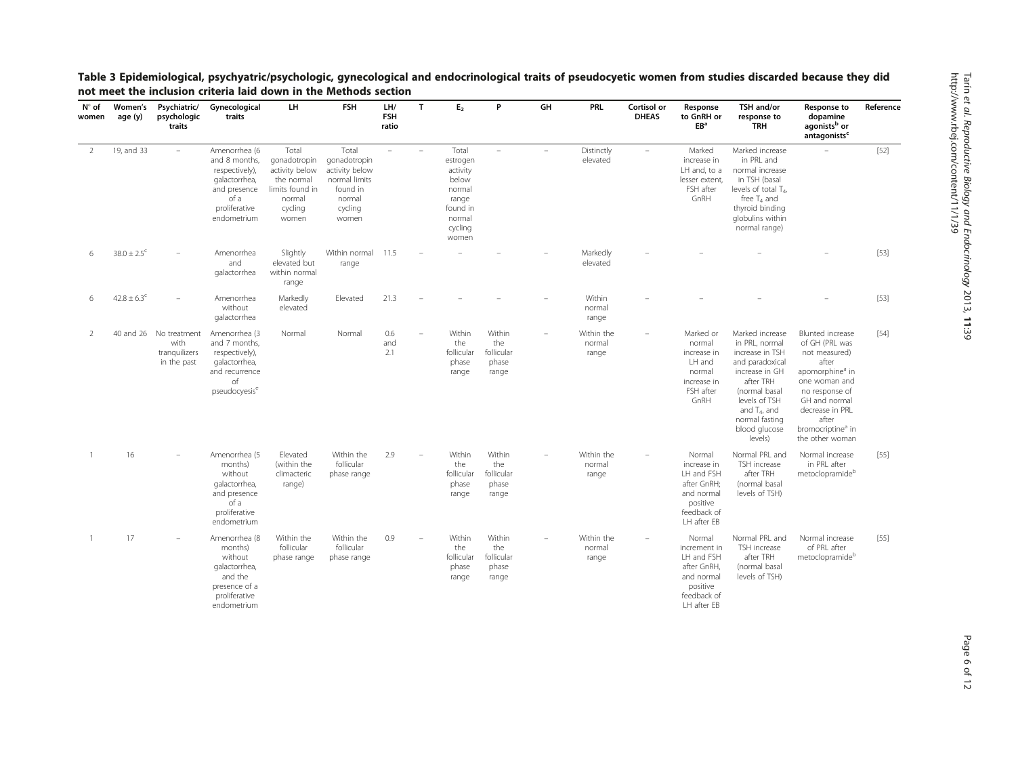| $N^{\circ}$ of<br>women | Women's<br>age (y)     | Psychiatric/<br>psychologic<br>traits                          | Gynecological<br>traits                                                                                                   | LH                                                                                                     | <b>FSH</b>                                                                                         | LH/<br>FSH<br>ratio   | $\mathsf{T}$ | E <sub>2</sub>                                                                                      | P                                             | GH       | PRL                           | Cortisol or<br><b>DHEAS</b> | Response<br>to GnRH or<br>EB <sup>a</sup>                                                                   | TSH and/or<br>response to<br><b>TRH</b>                                                                                                                                                                     | <b>Response to</b><br>dopamine<br>agonists <sup>b</sup> or<br>antagonists <sup>c</sup>                                                                                                                                          | Reference |
|-------------------------|------------------------|----------------------------------------------------------------|---------------------------------------------------------------------------------------------------------------------------|--------------------------------------------------------------------------------------------------------|----------------------------------------------------------------------------------------------------|-----------------------|--------------|-----------------------------------------------------------------------------------------------------|-----------------------------------------------|----------|-------------------------------|-----------------------------|-------------------------------------------------------------------------------------------------------------|-------------------------------------------------------------------------------------------------------------------------------------------------------------------------------------------------------------|---------------------------------------------------------------------------------------------------------------------------------------------------------------------------------------------------------------------------------|-----------|
| 2                       | 19, and 33             | $\equiv$                                                       | Amenorrhea (6<br>and 8 months,<br>respectively),<br>galactorrhea,<br>and presence<br>of a<br>proliferative<br>endometrium | Total<br>qonadotropin<br>activity below<br>the normal<br>limits found in<br>normal<br>cycling<br>women | Total<br>gonadotropin<br>activity below<br>normal limits<br>found in<br>normal<br>cycling<br>women | $\sim$                | $\sim$       | Total<br>estrogen<br>activity<br>below<br>normal<br>range<br>found in<br>normal<br>cycling<br>women | $\overline{\phantom{a}}$                      | $\equiv$ | Distinctly<br>elevated        | $\sim$                      | Marked<br>increase in<br>LH and, to a<br>lesser extent,<br>FSH after<br>GnRH                                | Marked increase<br>in PRL and<br>normal increase<br>in TSH (basal<br>levels of total $T_{4}$ ,<br>free $T_4$ and<br>thyroid binding<br>globulins within<br>normal range)                                    |                                                                                                                                                                                                                                 | $[52]$    |
| 6                       | $38.0 \pm 2.5^{\circ}$ |                                                                | Amenorrhea<br>and<br>galactorrhea                                                                                         | Slightly<br>elevated but<br>within normal<br>range                                                     | Within normal<br>range                                                                             | 11.5                  |              |                                                                                                     |                                               |          | Markedly<br>elevated          |                             |                                                                                                             |                                                                                                                                                                                                             |                                                                                                                                                                                                                                 | [53]      |
| 6                       | $42.8 \pm 6.3^c$       |                                                                | Amenorrhea<br>without<br>galactorrhea                                                                                     | Markedly<br>elevated                                                                                   | Elevated                                                                                           | 21.3                  |              |                                                                                                     |                                               |          | Within<br>normal<br>range     |                             |                                                                                                             |                                                                                                                                                                                                             |                                                                                                                                                                                                                                 | $[53]$    |
| $\overline{2}$          |                        | 40 and 26 No treatment<br>with<br>tranquilizers<br>in the past | Amenorrhea (3<br>and 7 months.<br>respectively),<br>galactorrhea,<br>and recurrence<br>of<br>pseudocyesis <sup>e</sup>    | Normal                                                                                                 | Normal                                                                                             | $0.6\,$<br>and<br>2.1 |              | Within<br>the<br>follicular<br>phase<br>range                                                       | Within<br>the<br>follicular<br>phase<br>range |          | Within the<br>normal<br>range | ÷                           | Marked or<br>normal<br>increase in<br>LH and<br>normal<br>increase in<br>FSH after<br>GnRH                  | Marked increase<br>in PRL, normal<br>increase in TSH<br>and paradoxical<br>increase in GH<br>after TRH<br>(normal basal<br>levels of TSH<br>and $T_{4}$ , and<br>normal fasting<br>blood glucose<br>levels) | Blunted increase<br>of GH (PRL was<br>not measured)<br>after<br>apomorphine <sup>a</sup> in<br>one woman and<br>no response of<br>GH and normal<br>decrease in PRL<br>after<br>bromocriptine <sup>a</sup> in<br>the other woman | $[54]$    |
|                         | 16                     |                                                                | Amenorrhea (5<br>months)<br>without<br>galactorrhea,<br>and presence<br>of a<br>proliferative<br>endometrium              | Elevated<br>(within the<br>climacteric<br>range)                                                       | Within the<br>follicular<br>phase range                                                            | 2.9                   |              | Within<br>the<br>follicular<br>phase<br>range                                                       | Within<br>the<br>follicular<br>phase<br>range |          | Within the<br>normal<br>range |                             | Normal<br>increase in<br>LH and FSH<br>after GnRH;<br>and normal<br>positive<br>feedback of<br>LH after EB  | Normal PRL and<br>TSH increase<br>after TRH<br>(normal basal<br>levels of TSH)                                                                                                                              | Normal increase<br>in PRL after<br>metoclopramideb                                                                                                                                                                              | $[55]$    |
|                         | 17                     |                                                                | Amenorrhea (8<br>months)<br>without<br>galactorrhea,<br>and the<br>presence of a<br>proliferative<br>endometrium          | Within the<br>follicular<br>phase range                                                                | Within the<br>follicular<br>phase range                                                            | 0.9                   |              | Within<br>the<br>follicular<br>phase<br>range                                                       | Within<br>the<br>follicular<br>phase<br>range |          | Within the<br>normal<br>range |                             | Normal<br>increment in<br>LH and FSH<br>after GnRH,<br>and normal<br>positive<br>feedback of<br>LH after EB | Normal PRL and<br>TSH increase<br>after TRH<br>(normal basal<br>levels of TSH)                                                                                                                              | Normal increase<br>of PRL after<br>metoclopramide <sup>b</sup>                                                                                                                                                                  | $[55]$    |

<span id="page-5-0"></span>Table 3 Epidemiological, psychyatric/psychologic, gynecological and endocrinological traits of pseudocyetic women from studies discarded because they did not meet the inclusion criteria laid down in the Methods section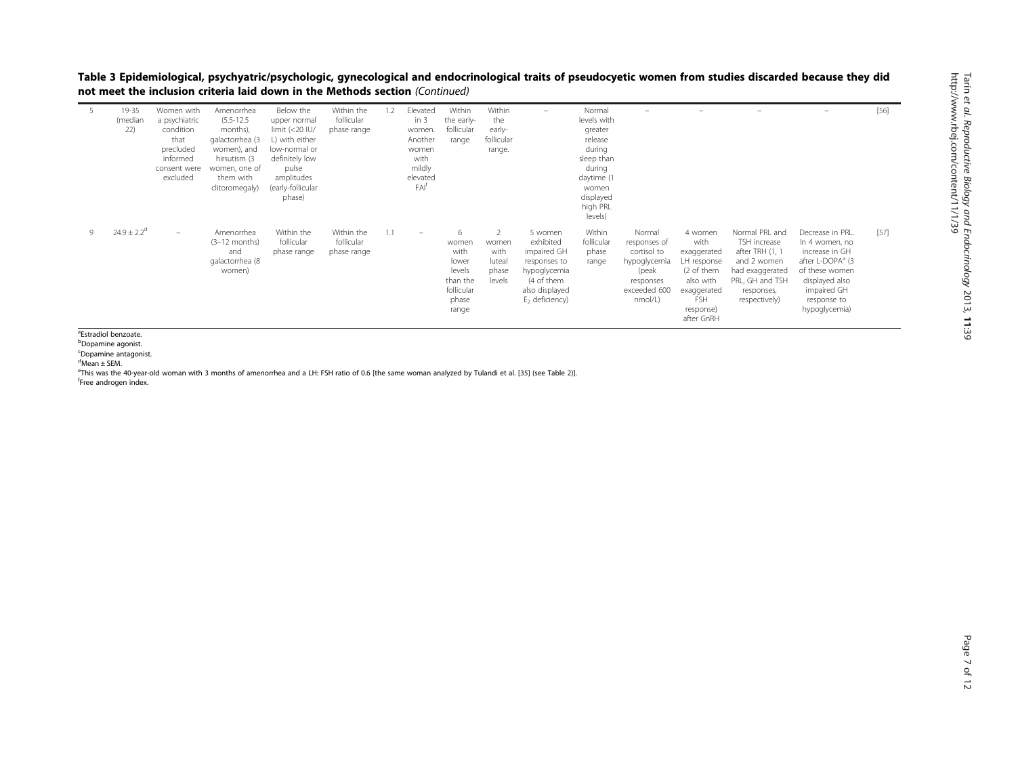# Table 3 Epidemiological, psychyatric/psychologic, gynecological and endocrinological traits of pseudocyetic women from studies discarded because they did not meet the inclusion criteria laid down in the Methods section (Continued)

| 5 | 19-35<br>(median<br>22) | Women with<br>a psychiatric<br>condition<br>that<br>precluded<br>informed<br>consent were<br>excluded | Amenorrhea<br>$(5.5 - 12.5)$<br>months),<br>galactorrhea (3<br>women), and<br>hirsutism (3<br>women, one of<br>them with<br>clitoromegaly) | Below the<br>upper normal<br>$limit$ (<20 IU/<br>L) with either<br>low-normal or<br>definitely low<br>pulse<br>amplitudes<br>(early-follicular<br>phase) | Within the<br>follicular<br>phase range | 1.2 | Elevated<br>in $3$<br>women.<br>Another<br>women<br>with<br>mildly<br>elevated<br>FAI | Within<br>the early-<br>follicular<br>range                                       | Within<br>the<br>early-<br>follicular<br>range.              | $\qquad \qquad -$                                                                                                                 | Normal<br>levels with<br>greater<br>release<br>during<br>sleep than<br>during<br>daytime (1<br>women<br>displayed<br>high PRL<br>levels) | $\overline{\phantom{m}}$                                                                               | $\qquad \qquad -$                                                                                                         | $\overline{\phantom{0}}$                                                                                                              | $\equiv$                                                                                                                                                                | $[56]$ |
|---|-------------------------|-------------------------------------------------------------------------------------------------------|--------------------------------------------------------------------------------------------------------------------------------------------|----------------------------------------------------------------------------------------------------------------------------------------------------------|-----------------------------------------|-----|---------------------------------------------------------------------------------------|-----------------------------------------------------------------------------------|--------------------------------------------------------------|-----------------------------------------------------------------------------------------------------------------------------------|------------------------------------------------------------------------------------------------------------------------------------------|--------------------------------------------------------------------------------------------------------|---------------------------------------------------------------------------------------------------------------------------|---------------------------------------------------------------------------------------------------------------------------------------|-------------------------------------------------------------------------------------------------------------------------------------------------------------------------|--------|
| 9 | $24.9 \pm 2.2^d$        | $\sim$                                                                                                | Amenorrhea<br>$(3-12$ months)<br>and<br>galactorrhea (8<br>women)                                                                          | Within the<br>follicular<br>phase range                                                                                                                  | Within the<br>follicular<br>phase range | 1.1 | $\overline{\phantom{a}}$                                                              | 6<br>women<br>with<br>lower<br>levels<br>than the<br>follicular<br>phase<br>range | $\overline{2}$<br>women<br>with<br>luteal<br>phase<br>levels | 5 women<br>exhibited<br>impaired GH<br>responses to<br>hypoglycemia<br>(4 of them<br>also displayed<br>E <sub>2</sub> deficiency) | Within<br>follicular<br>phase<br>range                                                                                                   | Normal<br>responses of<br>cortisol to<br>hypoglycemia<br>(peak<br>responses<br>exceeded 600<br>nmol/L) | 4 women<br>with<br>exaggerated<br>LH response<br>(2 of them<br>also with<br>exaggerated<br>FSH<br>response)<br>after GnRH | Normal PRL and<br>TSH increase<br>after TRH (1, 1<br>and 2 women<br>had exaggerated<br>PRL, GH and TSH<br>responses,<br>respectively) | Decrease in PRL.<br>In 4 women, no<br>increase in GH<br>after L-DOPA <sup>a</sup> (3<br>of these women<br>displayed also<br>impaired GH<br>response to<br>hypoglycemia) | $[57]$ |

a Estradiol benzoate.

b Dopamine agonist.

c Dopamine antagonist.

 $d$ Mean  $\pm$  SEM.

<sup>e</sup>This was the 40-year-old woman with 3 months of amenorrhea and a LH: FSH ratio of 0.6 [the same woman analyzed by Tulandi et al. [\[35](#page-9-0)] (see Table [2](#page-3-0))].<br><sup>f</sup>Free androgen index Free androgen index.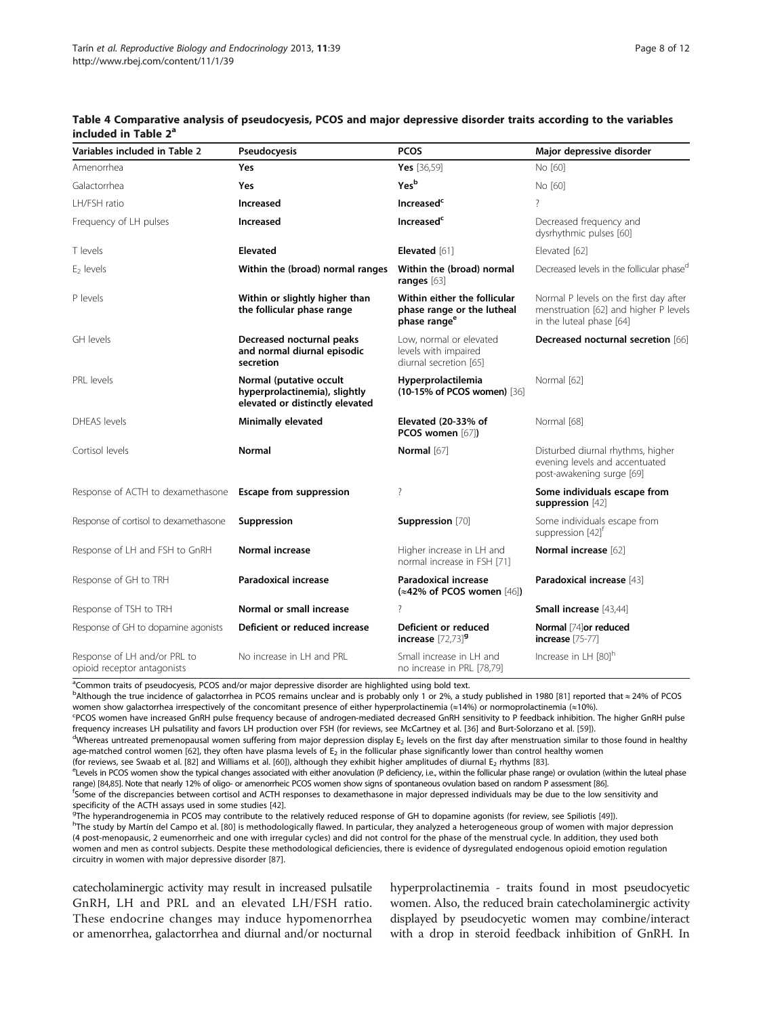| Variables included in Table 2                               | Pseudocyesis                                                                                | <b>PCOS</b>                                                                            | Major depressive disorder                                                                                   |
|-------------------------------------------------------------|---------------------------------------------------------------------------------------------|----------------------------------------------------------------------------------------|-------------------------------------------------------------------------------------------------------------|
| Amenorrhea                                                  | <b>Yes</b>                                                                                  | Yes [36,59]                                                                            | No [60]                                                                                                     |
| Galactorrhea                                                | <b>Yes</b>                                                                                  | Yesb                                                                                   | No [60]                                                                                                     |
| I H/FSH ratio                                               | Increased                                                                                   | <b>Increased</b> <sup>c</sup>                                                          | $\overline{?}$                                                                                              |
| Frequency of LH pulses                                      | Increased                                                                                   | Increased <sup>c</sup>                                                                 | Decreased frequency and<br>dysrhythmic pulses [60]                                                          |
| T levels                                                    | <b>Elevated</b>                                                                             | Elevated [61]                                                                          | Elevated [62]                                                                                               |
| $E2$ levels                                                 | Within the (broad) normal ranges                                                            | Within the (broad) normal<br>ranges $[63]$                                             | Decreased levels in the follicular phase <sup>d</sup>                                                       |
| P levels                                                    | Within or slightly higher than<br>the follicular phase range                                | Within either the follicular<br>phase range or the lutheal<br>phase range <sup>e</sup> | Normal P levels on the first day after<br>menstruation [62] and higher P levels<br>in the luteal phase [64] |
| GH levels                                                   | Decreased nocturnal peaks<br>and normal diurnal episodic<br>secretion                       | Low, normal or elevated<br>levels with impaired<br>diurnal secretion [65]              | Decreased nocturnal secretion [66]                                                                          |
| PRI levels                                                  | Normal (putative occult<br>hyperprolactinemia), slightly<br>elevated or distinctly elevated | Hyperprolactilemia<br>(10-15% of PCOS women) [36]                                      | Normal [62]                                                                                                 |
| <b>DHEAS</b> levels                                         | <b>Minimally elevated</b>                                                                   | Elevated (20-33% of<br>PCOS women [67])                                                | Normal [68]                                                                                                 |
| Cortisol levels                                             | <b>Normal</b>                                                                               | Normal [67]                                                                            | Disturbed diurnal rhythms, higher<br>evening levels and accentuated<br>post-awakening surge [69]            |
| Response of ACTH to dexamethasone                           | <b>Escape from suppression</b>                                                              | ?                                                                                      | Some individuals escape from<br>suppression [42]                                                            |
| Response of cortisol to dexamethasone                       | Suppression                                                                                 | Suppression [70]                                                                       | Some individuals escape from<br>suppression [42] <sup>†</sup>                                               |
| Response of LH and FSH to GnRH                              | <b>Normal increase</b>                                                                      | Higher increase in LH and<br>normal increase in FSH [71]                               | Normal increase [62]                                                                                        |
| Response of GH to TRH                                       | Paradoxical increase                                                                        | <b>Paradoxical increase</b><br>$(\approx 42\%$ of PCOS women [46])                     | Paradoxical increase [43]                                                                                   |
| Response of TSH to TRH                                      | Normal or small increase                                                                    | $\overline{?}$                                                                         | Small increase [43,44]                                                                                      |
| Response of GH to dopamine agonists                         | Deficient or reduced increase                                                               | Deficient or reduced<br>increase $[72,73]$ <sup>g</sup>                                | Normal [74] or reduced<br>increase [75-77]                                                                  |
| Response of LH and/or PRL to<br>opioid receptor antagonists | No increase in LH and PRL                                                                   | Small increase in LH and<br>no increase in PRL [78,79]                                 | Increase in LH [80] <sup>h</sup>                                                                            |

# <span id="page-7-0"></span>Table 4 Comparative analysis of pseudocyesis, PCOS and major depressive disorder traits according to the variables included in Table [2](#page-3-0)<sup>a</sup>

<sup>a</sup>Common traits of pseudocyesis, PCOS and/or major depressive disorder are highlighted using bold text.

b Although the true incidence of galactorrhea in PCOS remains unclear and is probably only 1 or 2%, a study published in 1980 [\[81](#page-10-0)] reported that ≈ 24% of PCOS women show galactorrhea irrespectively of the concomitant presence of either hyperprolactinemia (≈14%) or normoprolactinemia (≈10%).

PCOS women have increased GnRH pulse frequency because of androgen-mediated decreased GnRH sensitivity to P feedback inhibition. The higher GnRH pulse frequency increases LH pulsatility and favors LH production over FSH (for reviews, see McCartney et al. [\[36\]](#page-9-0) and Burt-Solorzano et al. [[59\]](#page-10-0)).

<sup>d</sup>Whereas untreated premenopausal women suffering from major depression display  $E_2$  levels on the first day after menstruation similar to those found in healthy age-matched control women [[62\]](#page-10-0), they often have plasma levels of  $E_2$  in the follicular phase significantly lower than control healthy women

(for reviews, see Swaab et al. [[82](#page-10-0)] and Williams et al. [\[60](#page-10-0)]), although they exhibit higher amplitudes of diurnal E<sub>2</sub> rhythms [\[83](#page-10-0)].

<sup>e</sup>Levels in PCOS women show the typical changes associated with either anovulation (P deficiency, i.e., within the follicular phase range) or ovulation (within the luteal phase range) [\[84,85\]](#page-10-0). Note that nearly 12% of oligo- or amenorrheic PCOS women show signs of spontaneous ovulation based on random P assessment [\[86](#page-10-0)]. <sup>f</sup> <sup>t</sup>Some of the discrepancies between cortisol and ACTH responses to dexamethasone in major depressed individuals may be due to the low sensitivity and specificity of the ACTH assays used in some studies [[42\]](#page-9-0).

<sup>9</sup>The hyperandrogenemia in PCOS may contribute to the relatively reduced response of GH to dopamine agonists (for review, see Spiliotis [\[49\]](#page-10-0)).

<sup>h</sup>The study by Martín del Campo et al. [[80](#page-10-0)] is methodologically flawed. In particular, they analyzed a heterogeneous group of women with major depression (4 post-menopausic, 2 eumenorrheic and one with irregular cycles) and did not control for the phase of the menstrual cycle. In addition, they used both women and men as control subjects. Despite these methodological deficiencies, there is evidence of dysregulated endogenous opioid emotion regulation circuitry in women with major depressive disorder [[87](#page-10-0)].

catecholaminergic activity may result in increased pulsatile GnRH, LH and PRL and an elevated LH/FSH ratio. These endocrine changes may induce hypomenorrhea or amenorrhea, galactorrhea and diurnal and/or nocturnal

hyperprolactinemia - traits found in most pseudocyetic women. Also, the reduced brain catecholaminergic activity displayed by pseudocyetic women may combine/interact with a drop in steroid feedback inhibition of GnRH. In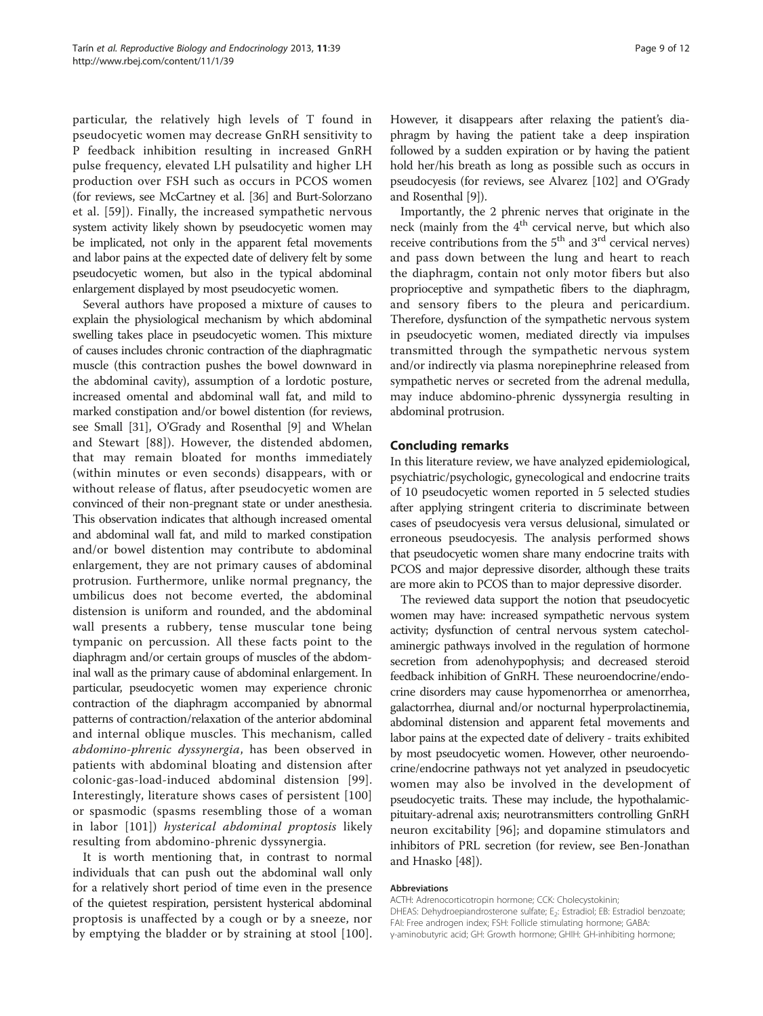particular, the relatively high levels of T found in pseudocyetic women may decrease GnRH sensitivity to P feedback inhibition resulting in increased GnRH pulse frequency, elevated LH pulsatility and higher LH production over FSH such as occurs in PCOS women (for reviews, see McCartney et al. [\[36\]](#page-9-0) and Burt-Solorzano et al. [[59\]](#page-10-0)). Finally, the increased sympathetic nervous system activity likely shown by pseudocyetic women may be implicated, not only in the apparent fetal movements and labor pains at the expected date of delivery felt by some pseudocyetic women, but also in the typical abdominal enlargement displayed by most pseudocyetic women.

Several authors have proposed a mixture of causes to explain the physiological mechanism by which abdominal swelling takes place in pseudocyetic women. This mixture of causes includes chronic contraction of the diaphragmatic muscle (this contraction pushes the bowel downward in the abdominal cavity), assumption of a lordotic posture, increased omental and abdominal wall fat, and mild to marked constipation and/or bowel distention (for reviews, see Small [\[31\]](#page-9-0), O'Grady and Rosenthal [\[9](#page-9-0)] and Whelan and Stewart [[88](#page-10-0)]). However, the distended abdomen, that may remain bloated for months immediately (within minutes or even seconds) disappears, with or without release of flatus, after pseudocyetic women are convinced of their non-pregnant state or under anesthesia. This observation indicates that although increased omental and abdominal wall fat, and mild to marked constipation and/or bowel distention may contribute to abdominal enlargement, they are not primary causes of abdominal protrusion. Furthermore, unlike normal pregnancy, the umbilicus does not become everted, the abdominal distension is uniform and rounded, and the abdominal wall presents a rubbery, tense muscular tone being tympanic on percussion. All these facts point to the diaphragm and/or certain groups of muscles of the abdominal wall as the primary cause of abdominal enlargement. In particular, pseudocyetic women may experience chronic contraction of the diaphragm accompanied by abnormal patterns of contraction/relaxation of the anterior abdominal and internal oblique muscles. This mechanism, called abdomino-phrenic dyssynergia, has been observed in patients with abdominal bloating and distension after colonic-gas-load-induced abdominal distension [[99](#page-11-0)]. Interestingly, literature shows cases of persistent [[100](#page-11-0)] or spasmodic (spasms resembling those of a woman in labor [[101](#page-11-0)]) hysterical abdominal proptosis likely resulting from abdomino-phrenic dyssynergia.

It is worth mentioning that, in contrast to normal individuals that can push out the abdominal wall only for a relatively short period of time even in the presence of the quietest respiration, persistent hysterical abdominal proptosis is unaffected by a cough or by a sneeze, nor by emptying the bladder or by straining at stool [[100](#page-11-0)]. However, it disappears after relaxing the patient's diaphragm by having the patient take a deep inspiration followed by a sudden expiration or by having the patient hold her/his breath as long as possible such as occurs in pseudocyesis (for reviews, see Alvarez [\[102\]](#page-11-0) and O'Grady and Rosenthal [\[9](#page-9-0)]).

Importantly, the 2 phrenic nerves that originate in the neck (mainly from the 4<sup>th</sup> cervical nerve, but which also receive contributions from the  $5<sup>th</sup>$  and  $3<sup>rd</sup>$  cervical nerves) and pass down between the lung and heart to reach the diaphragm, contain not only motor fibers but also proprioceptive and sympathetic fibers to the diaphragm, and sensory fibers to the pleura and pericardium. Therefore, dysfunction of the sympathetic nervous system in pseudocyetic women, mediated directly via impulses transmitted through the sympathetic nervous system and/or indirectly via plasma norepinephrine released from sympathetic nerves or secreted from the adrenal medulla, may induce abdomino-phrenic dyssynergia resulting in abdominal protrusion.

# Concluding remarks

In this literature review, we have analyzed epidemiological, psychiatric/psychologic, gynecological and endocrine traits of 10 pseudocyetic women reported in 5 selected studies after applying stringent criteria to discriminate between cases of pseudocyesis vera versus delusional, simulated or erroneous pseudocyesis. The analysis performed shows that pseudocyetic women share many endocrine traits with PCOS and major depressive disorder, although these traits are more akin to PCOS than to major depressive disorder.

The reviewed data support the notion that pseudocyetic women may have: increased sympathetic nervous system activity; dysfunction of central nervous system catecholaminergic pathways involved in the regulation of hormone secretion from adenohypophysis; and decreased steroid feedback inhibition of GnRH. These neuroendocrine/endocrine disorders may cause hypomenorrhea or amenorrhea, galactorrhea, diurnal and/or nocturnal hyperprolactinemia, abdominal distension and apparent fetal movements and labor pains at the expected date of delivery - traits exhibited by most pseudocyetic women. However, other neuroendocrine/endocrine pathways not yet analyzed in pseudocyetic women may also be involved in the development of pseudocyetic traits. These may include, the hypothalamicpituitary-adrenal axis; neurotransmitters controlling GnRH neuron excitability [\[96](#page-11-0)]; and dopamine stimulators and inhibitors of PRL secretion (for review, see Ben-Jonathan and Hnasko [[48](#page-10-0)]).

#### Abbreviations

ACTH: Adrenocorticotropin hormone; CCK: Cholecystokinin; DHEAS: Dehydroepiandrosterone sulfate; E<sub>2</sub>: Estradiol; EB: Estradiol benzoate; FAI: Free androgen index; FSH: Follicle stimulating hormone; GABA: γ-aminobutyric acid; GH: Growth hormone; GHIH: GH-inhibiting hormone;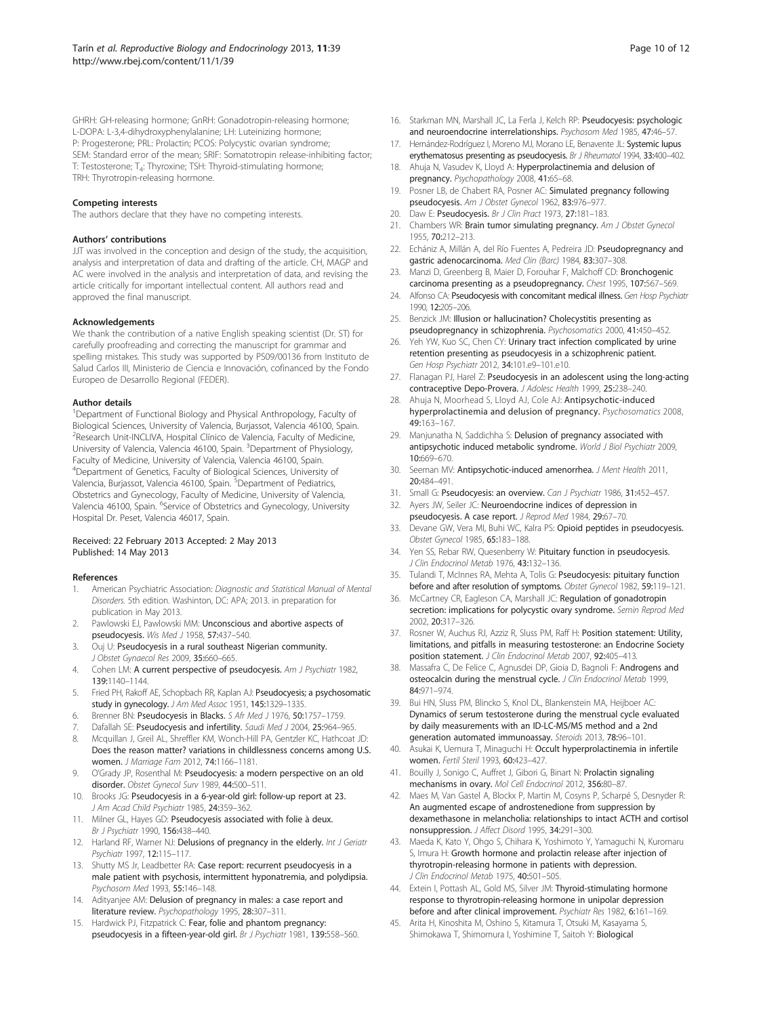<span id="page-9-0"></span>GHRH: GH-releasing hormone; GnRH: Gonadotropin-releasing hormone; L-DOPA: L-3,4-dihydroxyphenylalanine; LH: Luteinizing hormone; P: Progesterone; PRL: Prolactin; PCOS: Polycystic ovarian syndrome; SEM: Standard error of the mean; SRIF: Somatotropin release-inhibiting factor; T: Testosterone; T4: Thyroxine; TSH: Thyroid-stimulating hormone; TRH: Thyrotropin-releasing hormone.

#### Competing interests

The authors declare that they have no competing interests.

#### Authors' contributions

JJT was involved in the conception and design of the study, the acquisition, analysis and interpretation of data and drafting of the article. CH, MAGP and AC were involved in the analysis and interpretation of data, and revising the article critically for important intellectual content. All authors read and approved the final manuscript.

#### Acknowledgements

We thank the contribution of a native English speaking scientist (Dr. ST) for carefully proofreading and correcting the manuscript for grammar and spelling mistakes. This study was supported by PS09/00136 from Instituto de Salud Carlos III, Ministerio de Ciencia e Innovación, cofinanced by the Fondo Europeo de Desarrollo Regional (FEDER).

#### Author details

<sup>1</sup>Department of Functional Biology and Physical Anthropology, Faculty of Biological Sciences, University of Valencia, Burjassot, Valencia 46100, Spain. <sup>2</sup> Research Unit-INCLIVA, Hospital Clínico de Valencia, Faculty of Medicine, University of Valencia, Valencia 46100, Spain. <sup>3</sup>Department of Physiology, Faculty of Medicine, University of Valencia, Valencia 46100, Spain. 4 Department of Genetics, Faculty of Biological Sciences, University of Valencia, Burjassot, Valencia 46100, Spain. <sup>5</sup>Department of Pediatrics, Obstetrics and Gynecology, Faculty of Medicine, University of Valencia, Valencia 46100, Spain. <sup>6</sup>Service of Obstetrics and Gynecology, University Hospital Dr. Peset, Valencia 46017, Spain.

#### Received: 22 February 2013 Accepted: 2 May 2013 Published: 14 May 2013

#### References

- American Psychiatric Association: Diagnostic and Statistical Manual of Mental Disorders. 5th edition. Washinton, DC: APA; 2013. in preparation for publication in May 2013.
- 2. Pawlowski EJ, Pawlowski MM: Unconscious and abortive aspects of pseudocyesis. Wis Med J 1958, 57:437–540.
- 3. Ouj U: Pseudocyesis in a rural southeast Nigerian community. J Obstet Gynaecol Res 2009, 35:660–665.
- 4. Cohen LM: A current perspective of pseudocyesis. Am J Psychiatr 1982, 139:1140–1144.
- 5. Fried PH, Rakoff AE, Schopbach RR, Kaplan AJ: Pseudocyesis; a psychosomatic study in gynecology. J Am Med Assoc 1951, 145:1329-1335.
- 6. Brenner BN: Pseudocyesis in Blacks. S Afr Med J 1976, 50:1757–1759.
- Dafallah SE: Pseudocyesis and infertility. Saudi Med J 2004, 25:964-965.
- 8. Mcquillan J, Greil AL, Shreffler KM, Wonch-Hill PA, Gentzler KC, Hathcoat JD: Does the reason matter? variations in childlessness concerns among U.S. women. J Marriage Fam 2012, 74:1166–1181.
- 9. O'Grady JP, Rosenthal M: Pseudocyesis: a modern perspective on an old disorder. Obstet Gynecol Surv 1989, 44:500–511.
- 10. Brooks JG: Pseudocyesis in a 6-year-old girl: follow-up report at 23. J Am Acad Child Psychiatr 1985, 24:359–362.
- 11. Milner GL, Hayes GD: Pseudocyesis associated with folie à deux. Br J Psychiatr 1990, 156:438–440.
- 12. Harland RF, Warner NJ: Delusions of pregnancy in the elderly. Int J Geriatr Psychiatr 1997, 12:115–117.
- 13. Shutty MS Jr, Leadbetter RA: Case report: recurrent pseudocyesis in a male patient with psychosis, intermittent hyponatremia, and polydipsia. Psychosom Med 1993, 55:146–148.
- 14. Adityanjee AM: Delusion of pregnancy in males: a case report and literature review. Psychopathology 1995, 28:307–311.
- 15. Hardwick PJ, Fitzpatrick C: Fear, folie and phantom pregnancy: pseudocyesis in a fifteen-year-old girl. Br J Psychiatr 1981, 139:558-560.
- 16. Starkman MN, Marshall JC, La Ferla J, Kelch RP: Pseudocyesis: psychologic and neuroendocrine interrelationships. Psychosom Med 1985, 47:46–57.
- 17. Hernández-Rodríguez I, Moreno MJ, Morano LE, Benavente JL: Systemic lupus erythematosus presenting as pseudocyesis. Br J Rheumatol 1994, 33:400-402.
- 18. Ahuja N, Vasudev K, Lloyd A: Hyperprolactinemia and delusion of pregnancy. Psychopathology 2008, 41:65-68.
- 19. Posner LB, de Chabert RA, Posner AC: Simulated pregnancy following pseudocyesis. Am J Obstet Gynecol 1962, 83:976–977.
- 20. Daw E: Pseudocyesis. Br J Clin Pract 1973, 27:181-183.
- 21. Chambers WR: Brain tumor simulating pregnancy. Am J Obstet Gynecol 1955, 70:212–213.
- 22. Echániz A, Millán A, del Río Fuentes A, Pedreira JD: Pseudopregnancy and gastric adenocarcinoma. Med Clin (Barc) 1984, 83:307-308.
- 23. Manzi D, Greenberg B, Maier D, Forouhar F, Malchoff CD: Bronchogenic carcinoma presenting as a pseudopregnancy. Chest 1995, 107:567–569.
- 24. Alfonso CA: Pseudocyesis with concomitant medical illness. Gen Hosp Psychiatr 1990, 12:205–206.
- 25. Benzick JM: Illusion or hallucination? Cholecystitis presenting as pseudopregnancy in schizophrenia. Psychosomatics 2000, 41:450–452.
- 26. Yeh YW, Kuo SC, Chen CY: Urinary tract infection complicated by urine retention presenting as pseudocyesis in a schizophrenic patient. Gen Hosp Psychiatr 2012, 34:101.e9-101.e10.
- 27. Flanagan PJ, Harel Z: Pseudocyesis in an adolescent using the long-acting contraceptive Depo-Provera. J Adolesc Health 1999, 25:238–240.
- 28. Ahuja N, Moorhead S, Lloyd AJ, Cole AJ: Antipsychotic-induced hyperprolactinemia and delusion of pregnancy. Psychosomatics 2008, 49:163–167.
- 29. Manjunatha N, Saddichha S: Delusion of pregnancy associated with antipsychotic induced metabolic syndrome. World J Biol Psychiatr 2009, 10:669–670.
- 30. Seeman MV: Antipsychotic-induced amenorrhea. J Ment Health 2011, 20:484–491.
- 31. Small G: Pseudocyesis: an overview. Can J Psychiatr 1986, 31:452-457.
- 32. Ayers JW, Seiler JC: Neuroendocrine indices of depression in pseudocyesis. A case report. J Reprod Med 1984, 29:67–70.
- 33. Devane GW, Vera MI, Buhi WC, Kalra PS: Opioid peptides in pseudocyesis. Obstet Gynecol 1985, 65:183–188.
- 34. Yen SS, Rebar RW, Quesenberry W: Pituitary function in pseudocyesis. J Clin Endocrinol Metab 1976, 43:132–136.
- Tulandi T, McInnes RA, Mehta A, Tolis G: Pseudocyesis: pituitary function before and after resolution of symptoms. Obstet Gynecol 1982, 59:119–121.
- 36. McCartney CR, Eagleson CA, Marshall JC: Regulation of gonadotropin secretion: implications for polycystic ovary syndrome. Semin Reprod Med 2002, 20:317–326.
- 37. Rosner W, Auchus RJ, Azziz R, Sluss PM, Raff H: Position statement: Utility, limitations, and pitfalls in measuring testosterone: an Endocrine Society position statement. J Clin Endocrinol Metab 2007, 92:405-413.
- 38. Massafra C, De Felice C, Agnusdei DP, Gioia D, Bagnoli F: Androgens and osteocalcin during the menstrual cycle. J Clin Endocrinol Metab 1999, 84:971–974.
- 39. Bui HN, Sluss PM, Blincko S, Knol DL, Blankenstein MA, Heijboer AC: Dynamics of serum testosterone during the menstrual cycle evaluated by daily measurements with an ID-LC-MS/MS method and a 2nd generation automated immunoassay. Steroids 2013, 78:96–101.
- 40. Asukai K, Uemura T, Minaguchi H: Occult hyperprolactinemia in infertile women. Fertil Steril 1993, 60:423–427.
- 41. Bouilly J, Sonigo C, Auffret J, Gibori G, Binart N: Prolactin signaling mechanisms in ovary. Mol Cell Endocrinol 2012, 356:80–87.
- 42. Maes M, Van Gastel A, Blockx P, Martin M, Cosyns P, Scharpé S, Desnyder R: An augmented escape of androstenedione from suppression by dexamethasone in melancholia: relationships to intact ACTH and cortisol nonsuppression. J Affect Disord 1995, 34:291–300.
- 43. Maeda K, Kato Y, Ohgo S, Chihara K, Yoshimoto Y, Yamaguchi N, Kuromaru S, Imura H: Growth hormone and prolactin release after injection of thyrotropin-releasing hormone in patients with depression. J Clin Endocrinol Metab 1975, 40:501-505.
- 44. Extein I, Pottash AL, Gold MS, Silver JM: Thyroid-stimulating hormone response to thyrotropin-releasing hormone in unipolar depression before and after clinical improvement. Psychiatr Res 1982, 6:161–169.
- 45. Arita H, Kinoshita M, Oshino S, Kitamura T, Otsuki M, Kasayama S, Shimokawa T, Shimomura I, Yoshimine T, Saitoh Y: Biological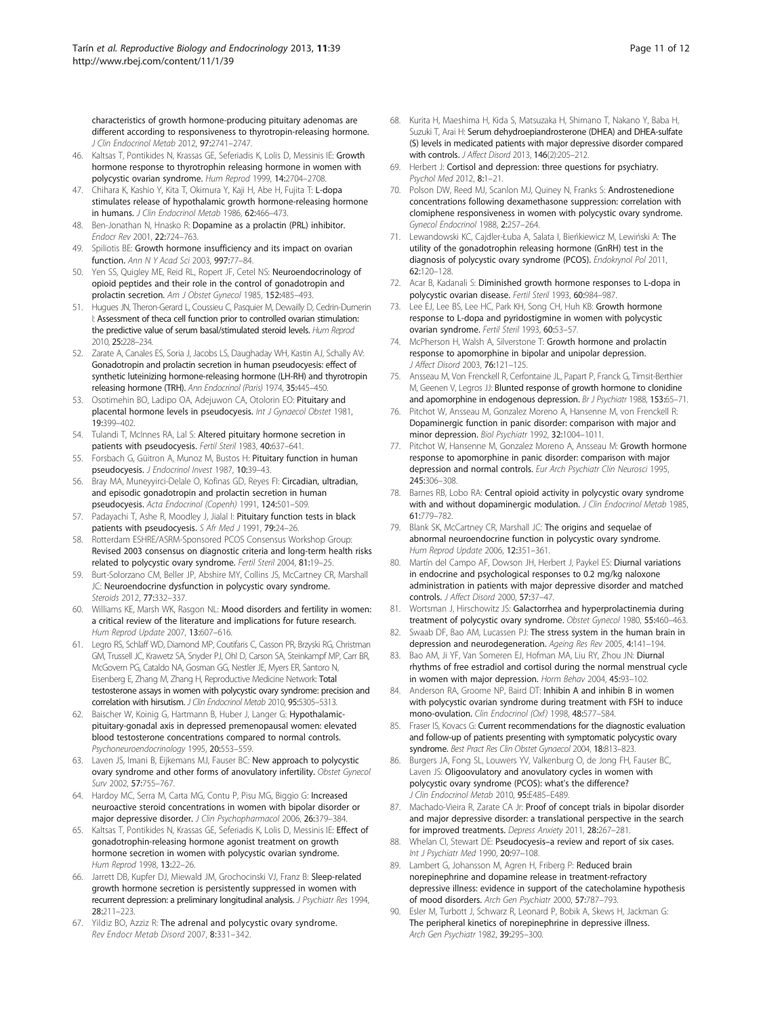<span id="page-10-0"></span>characteristics of growth hormone-producing pituitary adenomas are different according to responsiveness to thyrotropin-releasing hormone. J Clin Endocrinol Metab 2012, 97:2741–2747.

- 46. Kaltsas T, Pontikides N, Krassas GE, Seferiadis K, Lolis D, Messinis IE: Growth hormone response to thyrotrophin releasing hormone in women with polycystic ovarian syndrome. Hum Reprod 1999, 14:2704–2708.
- 47. Chihara K, Kashio Y, Kita T, Okimura Y, Kaji H, Abe H, Fujita T: L-dopa stimulates release of hypothalamic growth hormone-releasing hormone in humans. J Clin Endocrinol Metab 1986, 62:466–473.
- 48. Ben-Jonathan N, Hnasko R: Dopamine as a prolactin (PRL) inhibitor. Endocr Rev 2001, 22:724–763.
- 49. Spiliotis BE: Growth hormone insufficiency and its impact on ovarian function. Ann N Y Acad Sci 2003, 997:77–84.
- 50. Yen SS, Quigley ME, Reid RL, Ropert JF, Cetel NS: Neuroendocrinology of opioid peptides and their role in the control of gonadotropin and prolactin secretion. Am J Obstet Gynecol 1985, 152:485–493.
- 51. Hugues JN, Theron-Gerard L, Coussieu C, Pasquier M, Dewailly D, Cedrin-Durnerin I: Assessment of theca cell function prior to controlled ovarian stimulation: the predictive value of serum basal/stimulated steroid levels. Hum Reprod 2010, 25:228–234.
- 52. Zarate A, Canales ES, Soria J, Jacobs LS, Daughaday WH, Kastin AJ, Schally AV: Gonadotropin and prolactin secretion in human pseudocyesis: effect of synthetic luteinizing hormone-releasing hormone (LH-RH) and thyrotropin releasing hormone (TRH). Ann Endocrinol (Paris) 1974, 35:445–450.
- 53. Osotimehin BO, Ladipo OA, Adejuwon CA, Otolorin EO: Pituitary and placental hormone levels in pseudocyesis. Int J Gynaecol Obstet 1981, 19:399–402.
- 54. Tulandi T, McInnes RA, Lal S: Altered pituitary hormone secretion in patients with pseudocyesis. Fertil Steril 1983, 40:637-641
- 55. Forsbach G, Güitron A, Munoz M, Bustos H: Pituitary function in human pseudocyesis. J Endocrinol Invest 1987, 10:39–43.
- 56. Bray MA, Muneyyirci-Delale O, Kofinas GD, Reyes FI: Circadian, ultradian, and episodic gonadotropin and prolactin secretion in human pseudocyesis. Acta Endocrinol (Copenh) 1991, 124:501–509.
- 57. Padayachi T, Ashe R, Moodley J, Jialal I: Pituitary function tests in black patients with pseudocyesis. S Afr Med J 1991, 79:24-26.
- 58. Rotterdam ESHRE/ASRM-Sponsored PCOS Consensus Workshop Group: Revised 2003 consensus on diagnostic criteria and long-term health risks related to polycystic ovary syndrome. Fertil Steril 2004, 81:19–25.
- 59. Burt-Solorzano CM, Beller JP, Abshire MY, Collins JS, McCartney CR, Marshall JC: Neuroendocrine dysfunction in polycystic ovary syndrome. Steroids 2012, 77:332–337.
- 60. Williams KE, Marsh WK, Rasgon NL: Mood disorders and fertility in women: a critical review of the literature and implications for future research. Hum Reprod Update 2007, 13:607–616.
- 61. Legro RS, Schlaff WD, Diamond MP, Coutifaris C, Casson PR, Brzyski RG, Christman GM, Trussell JC, Krawetz SA, Snyder PJ, Ohl D, Carson SA, Steinkampf MP, Carr BR, McGovern PG, Cataldo NA, Gosman GG, Nestler JE, Myers ER, Santoro N, Eisenberg E, Zhang M, Zhang H, Reproductive Medicine Network: Total testosterone assays in women with polycystic ovary syndrome: precision and correlation with hirsutism. J Clin Endocrinol Metab 2010, 95:5305–5313.
- 62. Baischer W, Koinig G, Hartmann B, Huber J, Langer G: Hypothalamicpituitary-gonadal axis in depressed premenopausal women: elevated blood testosterone concentrations compared to normal controls. Psychoneuroendocrinology 1995, 20:553–559.
- 63. Laven JS, Imani B, Eijkemans MJ, Fauser BC: New approach to polycystic ovary syndrome and other forms of anovulatory infertility. Obstet Gynecol Surv 2002, 57:755–767.
- 64. Hardoy MC, Serra M, Carta MG, Contu P, Pisu MG, Biggio G: Increased neuroactive steroid concentrations in women with bipolar disorder or major depressive disorder. J Clin Psychopharmacol 2006, 26:379-384.
- 65. Kaltsas T, Pontikides N, Krassas GE, Seferiadis K, Lolis D, Messinis IE: Effect of gonadotrophin-releasing hormone agonist treatment on growth hormone secretion in women with polycystic ovarian syndrome. Hum Reprod 1998, 13:22–26.
- 66. Jarrett DB, Kupfer DJ, Miewald JM, Grochocinski VJ, Franz B: Sleep-related growth hormone secretion is persistently suppressed in women with recurrent depression: a preliminary longitudinal analysis. J Psychiatr Res 1994, 28:211–223.
- 67. Yildiz BO, Azziz R: The adrenal and polycystic ovary syndrome. Rev Endocr Metab Disord 2007, 8:331–342.
- 68. Kurita H, Maeshima H, Kida S, Matsuzaka H, Shimano T, Nakano Y, Baba H, Suzuki T, Arai H: Serum dehydroepiandrosterone (DHEA) and DHEA-sulfate (S) levels in medicated patients with major depressive disorder compared with controls. J Affect Disord 2013, 146(2):205–212.
- 69. Herbert J: Cortisol and depression: three questions for psychiatry. Psychol Med 2012, 8:1–21.
- 70. Polson DW, Reed MJ, Scanlon MJ, Quiney N, Franks S: Androstenedione concentrations following dexamethasone suppression: correlation with clomiphene responsiveness in women with polycystic ovary syndrome. Gynecol Endocrinol 1988, 2:257–264.
- 71. Lewandowski KC, Cajdler-Łuba A, Salata I, Bieńkiewicz M, Lewiński A: The utility of the gonadotrophin releasing hormone (GnRH) test in the diagnosis of polycystic ovary syndrome (PCOS). Endokrynol Pol 2011, 62:120–128.
- 72. Acar B, Kadanali S: Diminished growth hormone responses to L-dopa in polycystic ovarian disease. Fertil Steril 1993, 60:984–987.
- 73. Lee EJ, Lee BS, Lee HC, Park KH, Song CH, Huh KB: Growth hormone response to L-dopa and pyridostigmine in women with polycystic ovarian syndrome. Fertil Steril 1993, 60:53–57.
- 74. McPherson H, Walsh A, Silverstone T: Growth hormone and prolactin response to apomorphine in bipolar and unipolar depression. J Affect Disord 2003, 76:121–125.
- 75. Ansseau M, Von Frenckell R, Cerfontaine JL, Papart P, Franck G, Timsit-Berthier M, Geenen V, Legros JJ: Blunted response of growth hormone to clonidine and apomorphine in endogenous depression. Br J Psychiatr 1988, 153:65-71.
- 76. Pitchot W, Ansseau M, Gonzalez Moreno A, Hansenne M, von Frenckell R: Dopaminergic function in panic disorder: comparison with major and minor depression. Biol Psychiatr 1992, 32:1004–1011.
- Pitchot W, Hansenne M, Gonzalez Moreno A, Ansseau M: Growth hormone response to apomorphine in panic disorder: comparison with major depression and normal controls. Eur Arch Psychiatr Clin Neurosci 1995, 245:306–308.
- 78. Barnes RB, Lobo RA: Central opioid activity in polycystic ovary syndrome with and without dopaminergic modulation. J Clin Endocrinol Metab 1985, 61:779–782.
- 79. Blank SK, McCartney CR, Marshall JC: The origins and sequelae of abnormal neuroendocrine function in polycystic ovary syndrome. Hum Reprod Update 2006, 12:351–361.
- 80. Martín del Campo AF, Dowson JH, Herbert J, Paykel ES: Diurnal variations in endocrine and psychological responses to 0.2 mg/kg naloxone administration in patients with major depressive disorder and matched controls. J Affect Disord 2000, 57:37–47.
- 81. Wortsman J, Hirschowitz JS: Galactorrhea and hyperprolactinemia during treatment of polycystic ovary syndrome. Obstet Gynecol 1980, 55:460–463.
- Swaab DF, Bao AM, Lucassen PJ: The stress system in the human brain in depression and neurodegeneration. Ageing Res Rev 2005, 4:141–194.
- 83. Bao AM, Ji YF, Van Someren EJ, Hofman MA, Liu RY, Zhou JN: Diurnal rhythms of free estradiol and cortisol during the normal menstrual cycle in women with major depression. Horm Behav 2004, 45:93–102.
- Anderson RA, Groome NP, Baird DT: Inhibin A and inhibin B in women with polycystic ovarian syndrome during treatment with FSH to induce mono-ovulation. Clin Endocrinol (Oxf) 1998, 48:577-584.
- 85. Fraser IS, Kovacs G: Current recommendations for the diagnostic evaluation and follow-up of patients presenting with symptomatic polycystic ovary syndrome. Best Pract Res Clin Obstet Gynaecol 2004, 18:813–823.
- 86. Burgers JA, Fong SL, Louwers YV, Valkenburg O, de Jong FH, Fauser BC, Laven JS: Oligoovulatory and anovulatory cycles in women with polycystic ovary syndrome (PCOS): what's the difference? Clin Endocrinol Metab 2010, 95:E485-E489.
- 87. Machado-Vieira R, Zarate CA Jr: Proof of concept trials in bipolar disorder and major depressive disorder: a translational perspective in the search for improved treatments. Depress Anxiety 2011, 28:267–281.
- 88. Whelan CI, Stewart DE: Pseudocyesis-a review and report of six cases. Int J Psychiatr Med 1990, 20:97–108.
- 89. Lambert G, Johansson M, Agren H, Friberg P: Reduced brain norepinephrine and dopamine release in treatment-refractory depressive illness: evidence in support of the catecholamine hypothesis of mood disorders. Arch Gen Psychiatr 2000, 57:787–793.
- 90. Esler M, Turbott J, Schwarz R, Leonard P, Bobik A, Skews H, Jackman G: The peripheral kinetics of norepinephrine in depressive illness. Arch Gen Psychiatr 1982, 39:295–300.